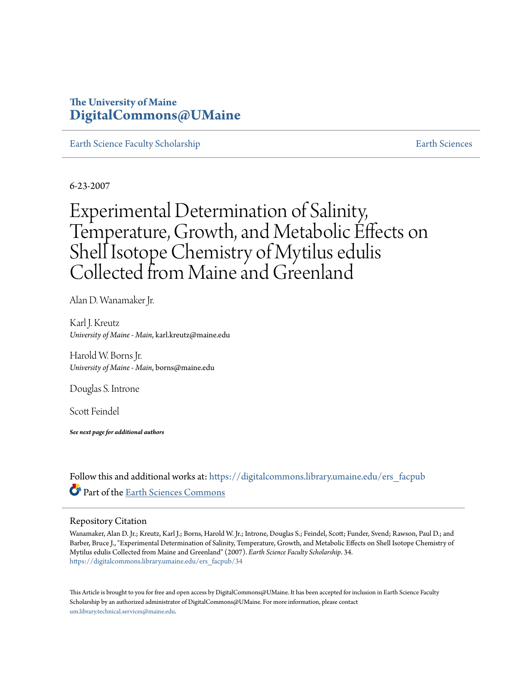# **The University of Maine [DigitalCommons@UMaine](https://digitalcommons.library.umaine.edu?utm_source=digitalcommons.library.umaine.edu%2Fers_facpub%2F34&utm_medium=PDF&utm_campaign=PDFCoverPages)**

[Earth Science Faculty Scholarship](https://digitalcommons.library.umaine.edu/ers_facpub?utm_source=digitalcommons.library.umaine.edu%2Fers_facpub%2F34&utm_medium=PDF&utm_campaign=PDFCoverPages) [Earth Sciences](https://digitalcommons.library.umaine.edu/ers?utm_source=digitalcommons.library.umaine.edu%2Fers_facpub%2F34&utm_medium=PDF&utm_campaign=PDFCoverPages) Earth Sciences

6-23-2007

# Experimental Determination of Salinity, Temperature, Growth, and Metabolic Effects on Shell Isotope Chemistry of Mytilus edulis Collected from Maine and Greenland

Alan D. Wanamaker Jr.

Karl J. Kreutz *University of Maine - Main*, karl.kreutz@maine.edu

Harold W. Borns Jr. *University of Maine - Main*, borns@maine.edu

Douglas S. Introne

Scott Feindel

*See next page for additional authors*

Follow this and additional works at: [https://digitalcommons.library.umaine.edu/ers\\_facpub](https://digitalcommons.library.umaine.edu/ers_facpub?utm_source=digitalcommons.library.umaine.edu%2Fers_facpub%2F34&utm_medium=PDF&utm_campaign=PDFCoverPages) Part of the [Earth Sciences Commons](http://network.bepress.com/hgg/discipline/153?utm_source=digitalcommons.library.umaine.edu%2Fers_facpub%2F34&utm_medium=PDF&utm_campaign=PDFCoverPages)

# Repository Citation

Wanamaker, Alan D. Jr.; Kreutz, Karl J.; Borns, Harold W. Jr.; Introne, Douglas S.; Feindel, Scott; Funder, Svend; Rawson, Paul D.; and Barber, Bruce J., "Experimental Determination of Salinity, Temperature, Growth, and Metabolic Effects on Shell Isotope Chemistry of Mytilus edulis Collected from Maine and Greenland" (2007). *Earth Science Faculty Scholarship*. 34. [https://digitalcommons.library.umaine.edu/ers\\_facpub/34](https://digitalcommons.library.umaine.edu/ers_facpub/34?utm_source=digitalcommons.library.umaine.edu%2Fers_facpub%2F34&utm_medium=PDF&utm_campaign=PDFCoverPages)

This Article is brought to you for free and open access by DigitalCommons@UMaine. It has been accepted for inclusion in Earth Science Faculty Scholarship by an authorized administrator of DigitalCommons@UMaine. For more information, please contact [um.library.technical.services@maine.edu](mailto:um.library.technical.services@maine.edu).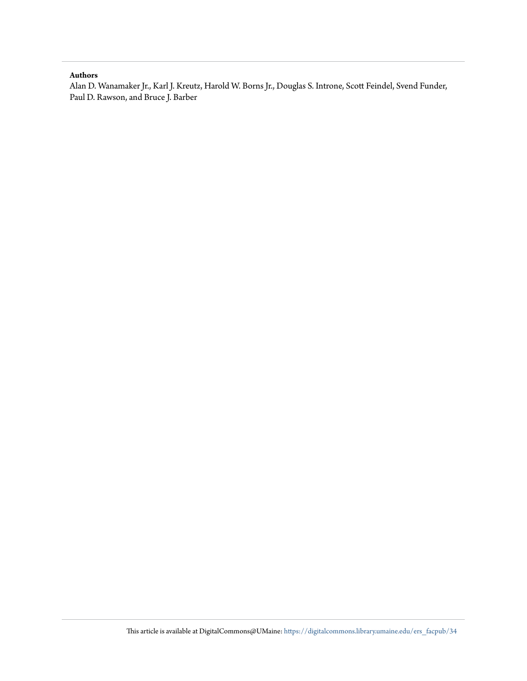# **Authors**

Alan D. Wanamaker Jr., Karl J. Kreutz, Harold W. Borns Jr., Douglas S. Introne, Scott Feindel, Svend Funder, Paul D. Rawson, and Bruce J. Barber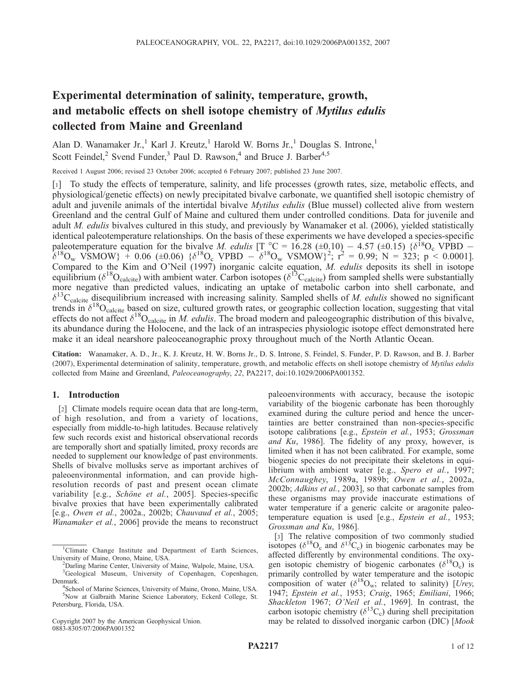# Experimental determination of salinity, temperature, growth, and metabolic effects on shell isotope chemistry of *Mytilus edulis* collected from Maine and Greenland

Alan D. Wanamaker Jr.,<sup>1</sup> Karl J. Kreutz,<sup>1</sup> Harold W. Borns Jr.,<sup>1</sup> Douglas S. Introne,<sup>1</sup> Scott Feindel,<sup>2</sup> Svend Funder,<sup>3</sup> Paul D. Rawson,<sup>4</sup> and Bruce J. Barber<sup>4,5</sup>

Received 1 August 2006; revised 23 October 2006; accepted 6 February 2007; published 23 June 2007.

[1] To study the effects of temperature, salinity, and life processes (growth rates, size, metabolic effects, and physiological/genetic effects) on newly precipitated bivalve carbonate, we quantified shell isotopic chemistry of adult and juvenile animals of the intertidal bivalve *Mytilus edulis* (Blue mussel) collected alive from western Greenland and the central Gulf of Maine and cultured them under controlled conditions. Data for juvenile and adult *M. edulis* bivalves cultured in this study, and previously by Wanamaker et al. (2006), yielded statistically identical paleotemperature relationships. On the basis of these experiments we have developed a species-specific paleotemperature equation for the bivalve M. edulis  $[T_{10}^{\circ}C = 16.28 \ (\pm 0.10) - 4.57 \ (\pm 0.15) \ \{\delta^{18}O_{c} \ \text{VPBD} \delta^{18}O_w$  VSMOW} + 0.06 (±0.06) { $\delta^{18}O_c$  VPBD  $-\delta^{18}O_w$  VSMOW}<sup>2</sup>;  $r^2 = 0.99$ ; N = 323; p < 0.0001]. Compared to the Kim and O'Neil (1997) inorganic calcite equation, M. edulis deposits its shell in isotope equilibrium ( $\delta^{18}O_{\text{calcite}}$ ) with ambient water. Carbon isotopes ( $\delta^{13}C_{\text{calcite}}$ ) from sampled shells were substantially more negative than predicted values, indicating an uptake of metabolic carbon into shell carbonate, and  $\delta^{13}C_{\text{calcite}}$  disequilibrium increased with increasing salinity. Sampled shells of *M. edulis* showed no significant trends in  $\delta^{18}O_{\text{calc}}$  based on size, cultured growth rates, or geographic collection location, suggesting that vital effects do not affect  $\delta^{18}O_{\text{calcite}}$  in M. edulis. The broad modern and paleogeographic distribution of this bivalve, its abundance during the Holocene, and the lack of an intraspecies physiologic isotope effect demonstrated here make it an ideal nearshore paleoceanographic proxy throughout much of the North Atlantic Ocean.

Citation: Wanamaker, A. D., Jr., K. J. Kreutz, H. W. Borns Jr., D. S. Introne, S. Feindel, S. Funder, P. D. Rawson, and B. J. Barber (2007), Experimental determination of salinity, temperature, growth, and metabolic effects on shell isotope chemistry of Mytilus edulis collected from Maine and Greenland, Paleoceanography, 22, PA2217, doi:10.1029/2006PA001352.

# 1. Introduction

[2] Climate models require ocean data that are long-term, of high resolution, and from a variety of locations, especially from middle-to-high latitudes. Because relatively few such records exist and historical observational records are temporally short and spatially limited, proxy records are needed to supplement our knowledge of past environments. Shells of bivalve mollusks serve as important archives of paleoenvironmental information, and can provide highresolution records of past and present ocean climate variability [e.g., Schöne et al., 2005]. Species-specific bivalve proxies that have been experimentally calibrated [e.g., Owen et al., 2002a., 2002b; Chauvaud et al., 2005; Wanamaker et al., 2006] provide the means to reconstruct

Copyright 2007 by the American Geophysical Union. 0883-8305/07/2006PA001352

paleoenvironments with accuracy, because the isotopic variability of the biogenic carbonate has been thoroughly examined during the culture period and hence the uncertainties are better constrained than non-species-specific isotope calibrations [e.g., Epstein et al., 1953; Grossman and Ku, 1986]. The fidelity of any proxy, however, is limited when it has not been calibrated. For example, some biogenic species do not precipitate their skeletons in equilibrium with ambient water [e.g., Spero et al., 1997; McConnaughey, 1989a, 1989b; Owen et al., 2002a, 2002b; Adkins et al., 2003], so that carbonate samples from these organisms may provide inaccurate estimations of water temperature if a generic calcite or aragonite paleotemperature equation is used [e.g., Epstein et al., 1953; Grossman and Ku, 1986].

[3] The relative composition of two commonly studied isotopes ( $\delta^{18}O_c$  and  $\delta^{13}C_c$ ) in biogenic carbonates may be affected differently by environmental conditions. The oxygen isotopic chemistry of biogenic carbonates ( $\delta^{18}O_c$ ) is primarily controlled by water temperature and the isotopic composition of water  $(\delta^{18}O_w;$  related to salinity) [Urey, 1947; Epstein et al., 1953; Craig, 1965; Emiliani, 1966; Shackleton 1967; O'Neil et al., 1969]. In contrast, the carbon isotopic chemistry  $(\delta^{13}C_c)$  during shell precipitation may be related to dissolved inorganic carbon (DIC) [Mook

<sup>&</sup>lt;sup>1</sup>Climate Change Institute and Department of Earth Sciences, University of Maine, Orono, Maine, USA. <sup>2</sup>

<sup>&</sup>lt;sup>2</sup>Darling Marine Center, University of Maine, Walpole, Maine, USA. <sup>3</sup>Geological Museum, University of Copenhagen, Copenhagen, Denmark.

<sup>&</sup>lt;sup>4</sup>School of Marine Sciences, University of Maine, Orono, Maine, USA. 5 Now at Galbraith Marine Science Laboratory, Eckerd College, St. Petersburg, Florida, USA.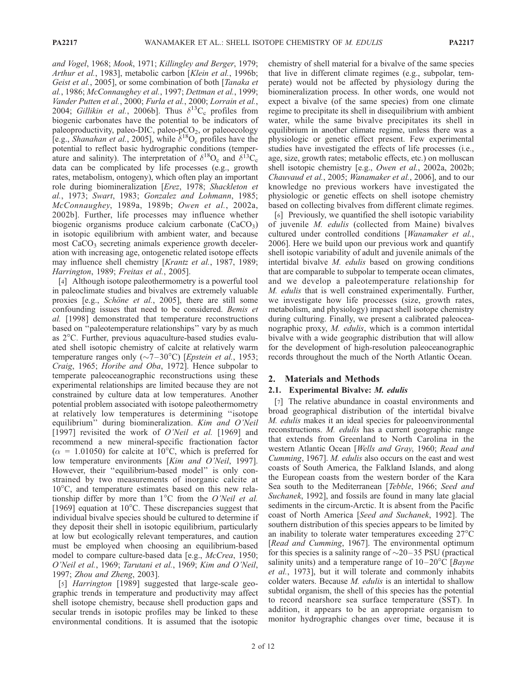and Vogel, 1968; Mook, 1971; Killingley and Berger, 1979; Arthur et al., 1983], metabolic carbon [Klein et al., 1996b; Geist et al., 2005], or some combination of both [Tanaka et al., 1986; McConnaughey et al., 1997; Dettman et al., 1999; Vander Putten et al., 2000; Furla et al., 2000; Lorrain et al., 2004; Gillikin et al., 2006b]. Thus  $\delta^{13}C_c$  profiles from biogenic carbonates have the potential to be indicators of paleoproductivity, paleo-DIC, paleo- $pCO<sub>2</sub>$ , or paleoecology [e.g., *Shanahan et al.*, 2005], while  $\delta^{18}O_c$  profiles have the potential to reflect basic hydrographic conditions (temperature and salinity). The interpretation of  $\delta^{18}O_c$  and  $\delta^{13}C_c$ data can be complicated by life processes (e.g., growth rates, metabolism, ontogeny), which often play an important role during biomineralization [Erez, 1978; Shackleton et al., 1973; Swart, 1983; Gonzalez and Lohmann, 1985; McConnaughey, 1989a, 1989b; Owen et al., 2002a, 2002b]. Further, life processes may influence whether biogenic organisms produce calcium carbonate  $(CaCO<sub>3</sub>)$ in isotopic equilibrium with ambient water, and because most  $CaCO<sub>3</sub>$  secreting animals experience growth deceleration with increasing age, ontogenetic related isotope effects may influence shell chemistry [Krantz et al., 1987, 1989; Harrington, 1989; Freitas et al., 2005].

[4] Although isotope paleothermometry is a powerful tool in paleoclimate studies and bivalves are extremely valuable proxies [e.g., Schöne et al., 2005], there are still some confounding issues that need to be considered. Bemis et al. [1998] demonstrated that temperature reconstructions based on ''paleotemperature relationships'' vary by as much as  $2^{\circ}$ C. Further, previous aquaculture-based studies evaluated shell isotopic chemistry of calcite at relatively warm temperature ranges only ( $\sim$ 7–30°C) [*Epstein et al.*, 1953; Craig, 1965; Horibe and Oba, 1972]. Hence subpolar to temperate paleoceanographic reconstructions using these experimental relationships are limited because they are not constrained by culture data at low temperatures. Another potential problem associated with isotope paleothermometry at relatively low temperatures is determining ''isotope equilibrium'' during biomineralization. Kim and O'Neil [1997] revisited the work of *O'Neil et al.* [1969] and recommend a new mineral-specific fractionation factor  $(\alpha = 1.01050)$  for calcite at 10<sup>o</sup>C, which is preferred for low temperature environments [Kim and O'Neil, 1997]. However, their ''equilibrium-based model'' is only constrained by two measurements of inorganic calcite at  $10^{\circ}$ C, and temperature estimates based on this new relationship differ by more than  $1^{\circ}$ C from the *O'Neil et al.* [1969] equation at  $10^{\circ}$ C. These discrepancies suggest that individual bivalve species should be cultured to determine if they deposit their shell in isotopic equilibrium, particularly at low but ecologically relevant temperatures, and caution must be employed when choosing an equilibrium-based model to compare culture-based data [e.g., *McCrea*, 1950; O'Neil et al., 1969; Tarutani et al., 1969; Kim and O'Neil, 1997; Zhou and Zheng, 2003].

[5] Harrington [1989] suggested that large-scale geographic trends in temperature and productivity may affect shell isotope chemistry, because shell production gaps and secular trends in isotopic profiles may be linked to these environmental conditions. It is assumed that the isotopic chemistry of shell material for a bivalve of the same species that live in different climate regimes (e.g., subpolar, temperate) would not be affected by physiology during the biomineralization process. In other words, one would not expect a bivalve (of the same species) from one climate regime to precipitate its shell in disequilibrium with ambient water, while the same bivalve precipitates its shell in equilibrium in another climate regime, unless there was a physiologic or genetic effect present. Few experimental studies have investigated the effects of life processes (i.e., age, size, growth rates; metabolic effects, etc.) on molluscan shell isotopic chemistry [e.g., Owen et al., 2002a, 2002b; Chauvaud et al., 2005; Wanamaker et al., 2006], and to our knowledge no previous workers have investigated the physiologic or genetic effects on shell isotope chemistry based on collecting bivalves from different climate regimes.

[6] Previously, we quantified the shell isotopic variability of juvenile M. edulis (collected from Maine) bivalves cultured under controlled conditions [Wanamaker et al., 2006]. Here we build upon our previous work and quantify shell isotopic variability of adult and juvenile animals of the intertidal bivalve M. edulis based on growing conditions that are comparable to subpolar to temperate ocean climates, and we develop a paleotemperature relationship for M. edulis that is well constrained experimentally. Further, we investigate how life processes (size, growth rates, metabolism, and physiology) impact shell isotope chemistry during culturing. Finally, we present a calibrated paleoceanographic proxy, M. edulis, which is a common intertidal bivalve with a wide geographic distribution that will allow for the development of high-resolution paleoceanographic records throughout the much of the North Atlantic Ocean.

#### 2. Materials and Methods

#### 2.1. Experimental Bivalve: M. edulis

[7] The relative abundance in coastal environments and broad geographical distribution of the intertidal bivalve M. edulis makes it an ideal species for paleoenvironmental reconstructions. M. edulis has a current geographic range that extends from Greenland to North Carolina in the western Atlantic Ocean [Wells and Gray, 1960; Read and Cumming, 1967]. M. edulis also occurs on the east and west coasts of South America, the Falkland Islands, and along the European coasts from the western border of the Kara Sea south to the Mediterranean [Tebble, 1966; Seed and Suchanek, 1992], and fossils are found in many late glacial sediments in the circum-Arctic. It is absent from the Pacific coast of North America [Seed and Suchanek, 1992]. The southern distribution of this species appears to be limited by an inability to tolerate water temperatures exceeding  $27^{\circ}$ C [Read and Cumming, 1967]. The environmental optimum for this species is a salinity range of  $\sim$ 20–35 PSU (practical salinity units) and a temperature range of  $10-20^{\circ}C$  [*Bayne* et al., 1973], but it will tolerate and commonly inhabits colder waters. Because M. edulis is an intertidal to shallow subtidal organism, the shell of this species has the potential to record nearshore sea surface temperature (SST). In addition, it appears to be an appropriate organism to monitor hydrographic changes over time, because it is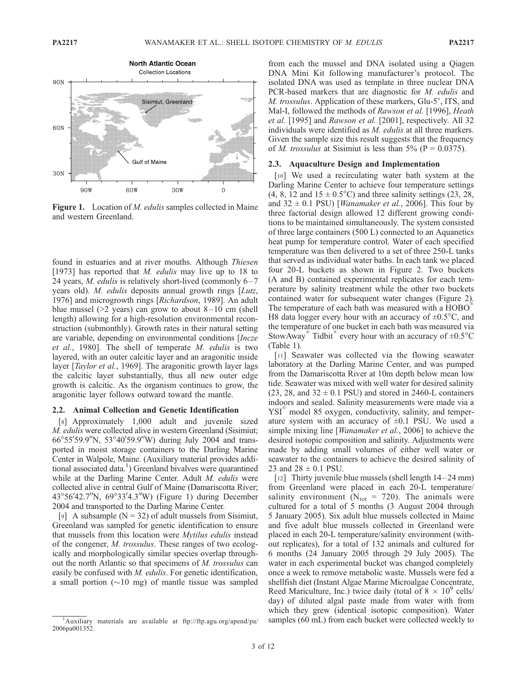

Figure 1. Location of *M. edulis* samples collected in Maine and western Greenland.

found in estuaries and at river mouths. Although Thiesen [1973] has reported that M. *edulis* may live up to 18 to 24 years, *M. edulis* is relatively short-lived (commonly  $6 - 7$ years old). *M. edulis* deposits annual growth rings [*Lutz*, 1976] and microgrowth rings [Richardson, 1989]. An adult blue mussel ( $>2$  years) can grow to about 8–10 cm (shell length) allowing for a high-resolution environmental reconstruction (submonthly). Growth rates in their natural setting are variable, depending on environmental conditions [Incze et al., 1980]. The shell of temperate M. edulis is two layered, with an outer calcitic layer and an aragonitic inside layer [Taylor et al., 1969]. The aragonitic growth layer lags the calcitic layer substantially, thus all new outer edge growth is calcitic. As the organism continues to grow, the aragonitic layer follows outward toward the mantle.

#### 2.2. Animal Collection and Genetic Identification

[8] Approximately 1,000 adult and juvenile sized M. edulis were collected alive in western Greenland (Sisimiut; 66°55'59.9"N, 53°40'59.9"W) during July 2004 and transported in moist storage containers to the Darling Marine Center in Walpole, Maine. (Auxiliary material provides additional associated data.<sup>1</sup>) Greenland bivalves were quarantined while at the Darling Marine Center. Adult M. edulis were collected alive in central Gulf of Maine (Damariscotta River; 43°56'42.7"N, 69°33'4.3"W) (Figure 1) during December 2004 and transported to the Darling Marine Center.

[9] A subsample ( $N = 32$ ) of adult mussels from Sisimiut, Greenland was sampled for genetic identification to ensure that mussels from this location were *Mytilus edulis* instead of the congener, M. trossulus. These ranges of two ecologically and morphologically similar species overlap throughout the north Atlantic so that specimens of M. trossulus can easily be confused with M. edulis. For genetic identification, a small portion  $(\sim 10 \text{ mg})$  of mantle tissue was sampled

from each the mussel and DNA isolated using a Qiagen DNA Mini Kit following manufacturer's protocol. The isolated DNA was used as template in three nuclear DNA PCR-based markers that are diagnostic for M. edulis and M. trossulus. Application of these markers, Glu-5', ITS, and Mal-I, followed the methods of Rawson et al. [1996], Heath et al. [1995] and Rawson et al. [2001], respectively. All 32 individuals were identified as M. edulis at all three markers. Given the sample size this result suggests that the frequency of *M. trossulus* at Sisimiut is less than  $5\%$  (P = 0.0375).

#### 2.3. Aquaculture Design and Implementation

[10] We used a recirculating water bath system at the Darling Marine Center to achieve four temperature settings  $(4, 8, 12 \text{ and } 15 \pm 0.5^{\circ}\text{C})$  and three salinity settings  $(23, 28, 12)$ and  $32 \pm 0.1$  PSU) [*Wanamaker et al.*, 2006]. This four by three factorial design allowed 12 different growing conditions to be maintained simultaneously. The system consisted of three large containers (500 L) connected to an Aquanetics heat pump for temperature control. Water of each specified temperature was then delivered to a set of three 250-L tanks that served as individual water baths. In each tank we placed four 20-L buckets as shown in Figure 2. Two buckets (A and B) contained experimental replicates for each temperature by salinity treatment while the other two buckets contained water for subsequent water changes (Figure 2). The temperature of each bath was measured with a HOBO<sup>®</sup> H8 data logger every hour with an accuracy of  $\pm 0.5^{\circ}$ C, and the temperature of one bucket in each bath was measured via StowAway<sup>®</sup> Tidbit<sup>®</sup> every hour with an accuracy of  $\pm 0.5^{\circ}$ C (Table 1).

[11] Seawater was collected via the flowing seawater laboratory at the Darling Marine Center, and was pumped from the Damariscotta River at 10m depth below mean low tide. Seawater was mixed with well water for desired salinity  $(23, 28, \text{ and } 32 \pm 0.1 \text{ PSU})$  and stored in 2460-L containers indoors and sealed. Salinity measurements were made via a YSI<sup>®</sup> model 85 oxygen, conductivity, salinity, and temperature system with an accuracy of  $\pm 0.1$  PSU. We used a simple mixing line [*Wanamaker et al.*, 2006] to achieve the desired isotopic composition and salinity. Adjustments were made by adding small volumes of either well water or seawater to the containers to achieve the desired salinity of 23 and  $28 \pm 0.1$  PSU.

[12] Thirty juvenile blue mussels (shell length 14– 24 mm) from Greenland were placed in each 20-L temperature/ salinity environment ( $N_{\text{tot}}$  = 720). The animals were cultured for a total of 5 months (3 August 2004 through 5 January 2005). Six adult blue mussels collected in Maine and five adult blue mussels collected in Greenland were placed in each 20-L temperature/salinity environment (without replicates), for a total of 132 animals and cultured for 6 months (24 January 2005 through 29 July 2005). The water in each experimental bucket was changed completely once a week to remove metabolic waste. Mussels were fed a shellfish diet (Instant Algae Marine Microalgae Concentrate, Reed Mariculture, Inc.) twice daily (total of  $8 \times 10^9$  cells/ day) of diluted algal paste made from water with from which they grew (identical isotopic composition). Water samples (60 mL) from each bucket were collected weekly to

<sup>&</sup>lt;sup>1</sup>Auxiliary materials are available at ftp://ftp.agu.org/apend/pa/ 2006pa001352.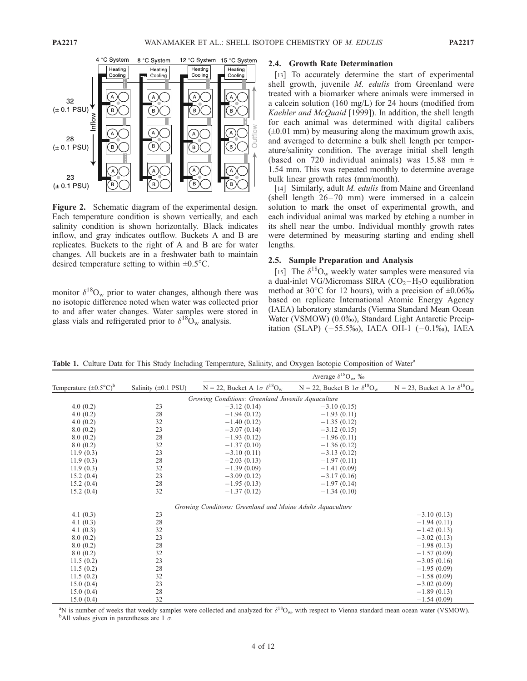

Figure 2. Schematic diagram of the experimental design. Each temperature condition is shown vertically, and each salinity condition is shown horizontally. Black indicates inflow, and gray indicates outflow. Buckets A and B are replicates. Buckets to the right of A and B are for water changes. All buckets are in a freshwater bath to maintain desired temperature setting to within  $\pm 0.5^{\circ}$ C.

monitor  $\delta^{18}O_w$  prior to water changes, although there was no isotopic difference noted when water was collected prior to and after water changes. Water samples were stored in glass vials and refrigerated prior to  $\delta^{18}$ O<sub>w</sub> analysis.

# 2.4. Growth Rate Determination

[13] To accurately determine the start of experimental shell growth, juvenile M. edulis from Greenland were treated with a biomarker where animals were immersed in a calcein solution (160 mg/L) for 24 hours (modified from Kaehler and McQuaid [1999]). In addition, the shell length for each animal was determined with digital calibers  $(\pm 0.01 \text{ mm})$  by measuring along the maximum growth axis, and averaged to determine a bulk shell length per temperature/salinity condition. The average initial shell length (based on 720 individual animals) was 15.88 mm  $\pm$ 1.54 mm. This was repeated monthly to determine average bulk linear growth rates (mm/month).

[14] Similarly, adult *M. edulis* from Maine and Greenland (shell length 26–70 mm) were immersed in a calcein solution to mark the onset of experimental growth, and each individual animal was marked by etching a number in its shell near the umbo. Individual monthly growth rates were determined by measuring starting and ending shell lengths.

### 2.5. Sample Preparation and Analysis

[15] The  $\delta^{18}O_w$  weekly water samples were measured via a dual-inlet VG/Micromass SIRA  $(CO<sub>2</sub> - H<sub>2</sub>O$  equilibration method at 30<sup>o</sup>C for 12 hours), with a precision of  $\pm 0.06\%$ based on replicate International Atomic Energy Agency (IAEA) laboratory standards (Vienna Standard Mean Ocean Water (VSMOW) (0.0%), Standard Light Antarctic Precipitation (SLAP)  $(-55.5\%)$ , IAEA OH-1  $(-0.1\%)$ , IAEA

Table 1. Culture Data for This Study Including Temperature, Salinity, and Oxygen Isotopic Composition of Water<sup>a</sup>

|                                      |                          | Average $\delta^{18}O_{w}$ , ‰                             |                                           |                                           |
|--------------------------------------|--------------------------|------------------------------------------------------------|-------------------------------------------|-------------------------------------------|
| Temperature $(\pm 0.5^{\circ}C)^{b}$ | Salinity $(\pm 0.1$ PSU) | N = 22, Bucket A $1\sigma \delta^{18}O_w$                  | N = 22, Bucket B $1\sigma \delta^{18}O_w$ | N = 23, Bucket A $1\sigma \delta^{18}O_w$ |
|                                      |                          | Growing Conditions: Greenland Juvenile Aquaculture         |                                           |                                           |
| 4.0(0.2)                             | 23                       | $-3.12(0.14)$                                              | $-3.10(0.15)$                             |                                           |
| 4.0(0.2)                             | 28                       | $-1.94(0.12)$                                              | $-1.93(0.11)$                             |                                           |
| 4.0(0.2)                             | 32                       | $-1.40(0.12)$                                              | $-1.35(0.12)$                             |                                           |
| 8.0(0.2)                             | 23                       | $-3.07(0.14)$                                              | $-3.12(0.15)$                             |                                           |
| 8.0(0.2)                             | 28                       | $-1.93(0.12)$                                              | $-1.96(0.11)$                             |                                           |
| 8.0(0.2)                             | 32                       | $-1.37(0.10)$                                              | $-1.36(0.12)$                             |                                           |
| 11.9(0.3)                            | 23                       | $-3.10(0.11)$                                              | $-3.13(0.12)$                             |                                           |
| 11.9(0.3)                            | 28                       | $-2.03(0.13)$                                              | $-1.97(0.11)$                             |                                           |
| 11.9(0.3)                            | 32                       | $-1.39(0.09)$                                              | $-1.41(0.09)$                             |                                           |
| 15.2(0.4)                            | 23                       | $-3.09(0.12)$                                              | $-3.17(0.16)$                             |                                           |
| 15.2(0.4)                            | 28                       | $-1.95(0.13)$                                              | $-1.97(0.14)$                             |                                           |
| 15.2(0.4)                            | 32                       | $-1.37(0.12)$                                              | $-1.34(0.10)$                             |                                           |
|                                      |                          | Growing Conditions: Greenland and Maine Adults Aquaculture |                                           |                                           |
| 4.1(0.3)                             | 23                       |                                                            |                                           | $-3.10(0.13)$                             |
| 4.1(0.3)                             | 28                       |                                                            |                                           | $-1.94(0.11)$                             |
| 4.1(0.3)                             | 32                       |                                                            |                                           | $-1.42(0.13)$                             |
| 8.0(0.2)                             | 23                       |                                                            |                                           | $-3.02(0.13)$                             |
| 8.0(0.2)                             | 28                       |                                                            |                                           | $-1.98(0.13)$                             |
| 8.0(0.2)                             | 32                       |                                                            |                                           | $-1.57(0.09)$                             |
| 11.5(0.2)                            | 23                       |                                                            |                                           | $-3.05(0.16)$                             |
| 11.5(0.2)                            | 28                       |                                                            |                                           | $-1.95(0.09)$                             |
| 11.5(0.2)                            | 32                       |                                                            |                                           | $-1.58(0.09)$                             |
| 15.0(0.4)                            | 23                       |                                                            |                                           | $-3.02(0.09)$                             |
| 15.0(0.4)                            | 28                       |                                                            |                                           | $-1.89(0.13)$                             |
| 15.0(0.4)                            | 32                       |                                                            |                                           | $-1.54(0.09)$                             |

<sup>a</sup>N is number of weeks that weekly samples were collected and analyzed for  $\delta^{18}O_w$ , with respect to Vienna standard mean ocean water (VSMOW). <sup>b</sup>All values given in parentheses are 1  $\sigma$ .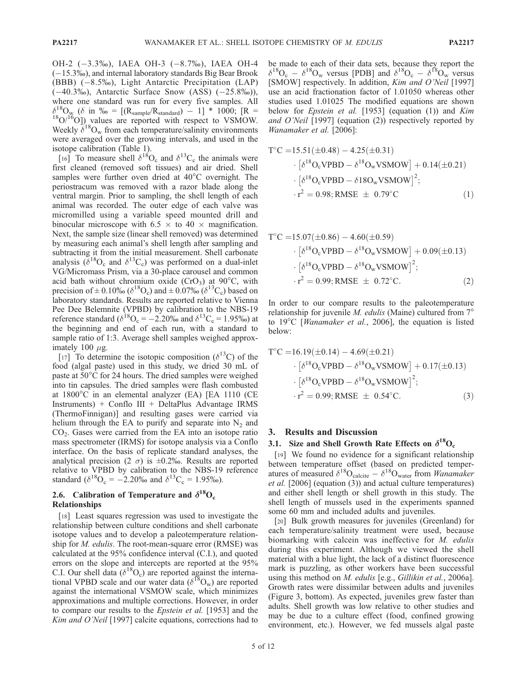OH-2 (-3.3%), IAEA OH-3 (-8.7%), IAEA OH-4  $(-15.3\%)$ , and internal laboratory standards Big Bear Brook (BBB)  $(-8.5\%)$ , Light Antarctic Precipitation (LAP)  $(-40.3\%)$ , Antarctic Surface Snow (ASS)  $(-25.8\%)$ ), where one standard was run for every five samples. All  $\delta^{18}_{\text{W}}$  ( $\delta$  in  $\%$  = [(R<sub>sample</sub>/R<sub>standard</sub>) – 1] \* 1000; [R =  $^{18}O/I^6O$ ]) values are reported with respect to VSMOW. Weekly  $\delta^{18}O_w$  from each temperature/salinity environments were averaged over the growing intervals, and used in the isotope calibration (Table 1).

[16] To measure shell  $\delta^{18}O_c$  and  $\delta^{13}C_c$  the animals were first cleaned (removed soft tissues) and air dried. Shell samples were further oven dried at  $40^{\circ}$ C overnight. The periostracum was removed with a razor blade along the ventral margin. Prior to sampling, the shell length of each animal was recorded. The outer edge of each valve was micromilled using a variable speed mounted drill and binocular microscope with 6.5  $\times$  to 40  $\times$  magnification. Next, the sample size (linear shell removed) was determined by measuring each animal's shell length after sampling and subtracting it from the initial measurement. Shell carbonate analysis ( $\delta^{18}O_c$  and  $\delta^{13}C_c$ ) was performed on a dual-inlet VG/Micromass Prism, via a 30-place carousel and common acid bath without chromium oxide  $(CrO<sub>3</sub>)$  at 90°C, with precision of  $\pm$  0.10‰ ( $\delta^{18}O_c$ ) and  $\pm$  0.07‰ ( $\delta^{13}C_c$ ) based on laboratory standards. Results are reported relative to Vienna Pee Dee Belemnite (VPBD) by calibration to the NBS-19 reference standard ( $\delta^{18}O_c = -2.20\%$  and  $\delta^{13}C_c = 1.95\%$ ) at the beginning and end of each run, with a standard to sample ratio of 1:3. Average shell samples weighed approximately 100  $\mu$ g.

[17] To determine the isotopic composition ( $\delta^{13}$ C) of the food (algal paste) used in this study, we dried 30 mL of paste at  $50^{\circ}$ C for 24 hours. The dried samples were weighed into tin capsules. The dried samples were flash combusted at  $1800^{\circ}$ C in an elemental analyzer (EA) [EA 1110 (CE Instruments) + Conflo III + DeltaPlus Advantage IRMS (ThermoFinnigan)] and resulting gases were carried via helium through the EA to purify and separate into  $N_2$  and  $CO<sub>2</sub>$ . Gases were carried from the EA into an isotope ratio mass spectrometer (IRMS) for isotope analysis via a Conflo interface. On the basis of replicate standard analyses, the analytical precision (2  $\sigma$ ) is  $\pm 0.2\%$ . Results are reported relative to VPBD by calibration to the NBS-19 reference standard ( $\delta^{18}O_c = -2.20\%$  and  $\delta^{13}C_c = 1.95\%$ ).

# 2.6. Calibration of Temperature and  $\delta^{18}O_c$ Relationships

[18] Least squares regression was used to investigate the relationship between culture conditions and shell carbonate isotope values and to develop a paleotemperature relationship for *M. edulis*. The root-mean-square error (RMSE) was calculated at the 95% confidence interval (C.I.), and quoted errors on the slope and intercepts are reported at the 95% C.I. Our shell data ( $\delta^{18}O_c$ ) are reported against the international VPBD scale and our water data ( $\delta^{18}O_w$ ) are reported against the international VSMOW scale, which minimizes approximations and multiple corrections. However, in order to compare our results to the Epstein et al. [1953] and the Kim and O'Neil [1997] calcite equations, corrections had to be made to each of their data sets, because they report the  $\delta^{18}O_c - \delta^{18}O_w$  versus [PDB] and  $\delta^{18}O_c - \delta^{18}O_w$  versus [SMOW] respectively. In addition, *Kim and O'Neil* [1997] use an acid fractionation factor of 1.01050 whereas other studies used 1.01025 The modified equations are shown below for *Epstein et al.* [1953] (equation (1)) and *Kim* and O'Neil [1997] (equation (2)) respectively reported by Wanamaker et al. [2006]:

$$
T^{\circ}C = 15.51(\pm 0.48) - 4.25(\pm 0.31)
$$

$$
\cdot \left[ \delta^{18}O_{c}VPBD - \delta^{18}O_{w}VSMOW \right] + 0.14(\pm 0.21)
$$

$$
\cdot \left[ \delta^{18}O_{c}VPBD - \delta 18O_{w}VSMOW \right]^{2};
$$

$$
\cdot r^{2} = 0.98; RMSE \pm 0.79^{\circ}C
$$
 (1)

$$
T^{\circ}C = 15.07(\pm 0.86) - 4.60(\pm 0.59)
$$
  
\n
$$
\cdot \left[ \delta^{18}O_{c}VPBD - \delta^{18}O_{w}VSMOW \right] + 0.09(\pm 0.13)
$$
  
\n
$$
\cdot \left[ \delta^{18}O_{c}VPBD - \delta^{18}O_{w}VSMOW \right]^{2};
$$
  
\n
$$
\cdot r^{2} = 0.99; RMSE \pm 0.72^{\circ}C.
$$
 (2)

In order to our compare results to the paleotemperature relationship for juvenile *M. edulis* (Maine) cultured from  $7^\circ$ to  $19^{\circ}$ C [Wanamaker et al., 2006], the equation is listed below:

$$
T^{\circ}C = 16.19(\pm 0.14) - 4.69(\pm 0.21)
$$
  
\n
$$
\cdot \left[ \delta^{18}O_{c}VPBD - \delta^{18}O_{w}VSMOW \right] + 0.17(\pm 0.13)
$$
  
\n
$$
\cdot \left[ \delta^{18}O_{c}VPBD - \delta^{18}O_{w}VSMOW \right]^{2};
$$
  
\n
$$
\cdot r^{2} = 0.99; RMSE \pm 0.54^{\circ}C.
$$
 (3)

#### 3. Results and Discussion

#### 3.1. Size and Shell Growth Rate Effects on  $\delta^{18}O_c$

[19] We found no evidence for a significant relationship between temperature offset (based on predicted temperatures of measured  $\delta^{18}O_{\text{calcite}} - \delta^{18}O_{\text{water}}$  from *Wanamaker* et al. [2006] (equation (3)) and actual culture temperatures) and either shell length or shell growth in this study. The shell length of mussels used in the experiments spanned some 60 mm and included adults and juveniles.

[20] Bulk growth measures for juveniles (Greenland) for each temperature/salinity treatment were used, because biomarking with calcein was ineffective for M. edulis during this experiment. Although we viewed the shell material with a blue light, the lack of a distinct fluorescence mark is puzzling, as other workers have been successful using this method on *M. edulis* [e.g., *Gillikin et al.*, 2006a]. Growth rates were dissimilar between adults and juveniles (Figure 3, bottom). As expected, juveniles grew faster than adults. Shell growth was low relative to other studies and may be due to a culture effect (food, confined growing environment, etc.). However, we fed mussels algal paste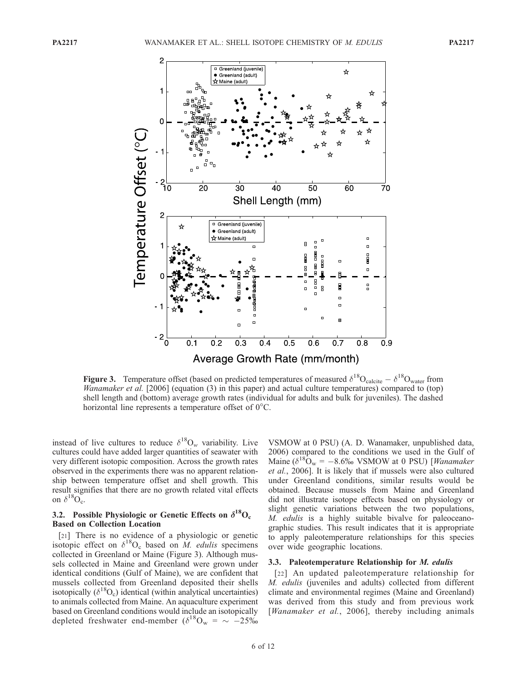

**Figure 3.** Temperature offset (based on predicted temperatures of measured  $\delta^{18}O_{\text{calcite}} - \delta^{18}O_{\text{water}}$  from Wanamaker et al. [2006] (equation (3) in this paper) and actual culture temperatures) compared to (top) shell length and (bottom) average growth rates (individual for adults and bulk for juveniles). The dashed horizontal line represents a temperature offset of  $0^{\circ}$ C.

instead of live cultures to reduce  $\delta^{18}O_w$  variability. Live cultures could have added larger quantities of seawater with very different isotopic composition. Across the growth rates observed in the experiments there was no apparent relationship between temperature offset and shell growth. This result signifies that there are no growth related vital effects on  $\delta^{18}O_{c}$ .

### 3.2. Possible Physiologic or Genetic Effects on  $\delta^{18}O_c$ Based on Collection Location

[21] There is no evidence of a physiologic or genetic isotopic effect on  $\delta^{18}O_c$  based on M. edulis specimens collected in Greenland or Maine (Figure 3). Although mussels collected in Maine and Greenland were grown under identical conditions (Gulf of Maine), we are confident that mussels collected from Greenland deposited their shells isotopically  $(\delta^{18}O_c)$  identical (within analytical uncertainties) to animals collected from Maine. An aquaculture experiment based on Greenland conditions would include an isotopically depleted freshwater end-member  $(\delta^{18}O_w = \sim -25\%$ 

VSMOW at 0 PSU) (A. D. Wanamaker, unpublished data, 2006) compared to the conditions we used in the Gulf of Maine ( $\delta^{18}O_w = -8.6\%$  VSMOW at 0 PSU) [Wanamaker et al., 2006]. It is likely that if mussels were also cultured under Greenland conditions, similar results would be obtained. Because mussels from Maine and Greenland did not illustrate isotope effects based on physiology or slight genetic variations between the two populations, M. edulis is a highly suitable bivalve for paleoceanographic studies. This result indicates that it is appropriate to apply paleotemperature relationships for this species over wide geographic locations.

#### 3.3. Paleotemperature Relationship for M. edulis

[22] An updated paleotemperature relationship for M. edulis (juveniles and adults) collected from different climate and environmental regimes (Maine and Greenland) was derived from this study and from previous work [Wanamaker et al., 2006], thereby including animals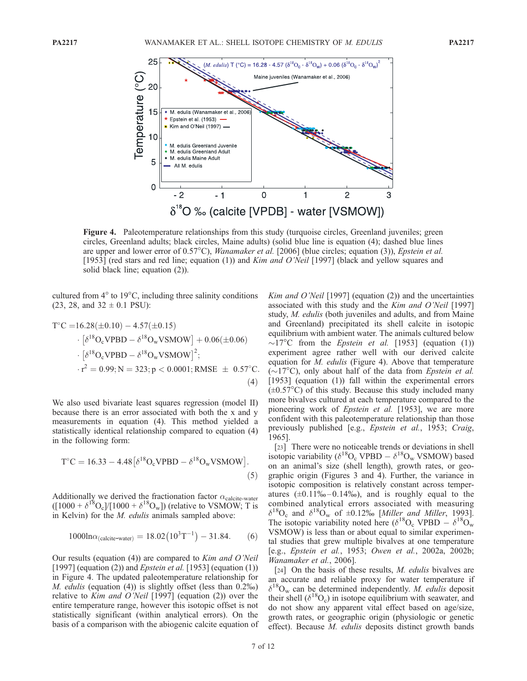

Figure 4. Paleotemperature relationships from this study (turquoise circles, Greenland juveniles; green circles, Greenland adults; black circles, Maine adults) (solid blue line is equation (4); dashed blue lines are upper and lower error of  $0.57^{\circ}$ C), *Wanamaker et al.* [2006] (blue circles; equation (3)), *Epstein et al.* [1953] (red stars and red line; equation (1)) and *Kim and O'Neil* [1997] (black and yellow squares and solid black line; equation (2)).

cultured from  $4^{\circ}$  to  $19^{\circ}$ C, including three salinity conditions  $(23, 28, and 32 \pm 0.1$  PSU):

$$
T^{\circ}C = 16.28(\pm 0.10) - 4.57(\pm 0.15)
$$
  
\n
$$
\cdot \left[ \delta^{18}O_{c}VPBD - \delta^{18}O_{w}VSMOW \right] + 0.06(\pm 0.06)
$$
  
\n
$$
\cdot \left[ \delta^{18}O_{c}VPBD - \delta^{18}O_{w}VSMOW \right]^{2};
$$
  
\n
$$
\cdot r^{2} = 0.99; N = 323; p < 0.0001; RMSE \pm 0.57^{\circ}C.
$$
  
\n(4)

We also used bivariate least squares regression (model II) because there is an error associated with both the x and y measurements in equation (4). This method yielded a statistically identical relationship compared to equation (4) in the following form:

$$
T^{\circ}C = 16.33 - 4.48[\delta^{18}O_{c}VPBD - \delta^{18}O_{w}VSMOW].
$$
\n(5)

Additionally we derived the fractionation factor  $\alpha_{\text{calcite-water}}$  $([1000 + \delta^{18}O_c]/[1000 + \delta^{18}O_w])$  (relative to VSMOW; T is in Kelvin) for the M. edulis animals sampled above:

$$
1000 \ln \alpha_{\text{(calicite-water)}} = 18.02 \left( 10^3 \text{T}^{-1} \right) - 31.84. \tag{6}
$$

Our results (equation (4)) are compared to Kim and O'Neil [1997] (equation (2)) and *Epstein et al.* [1953] (equation (1)) in Figure 4. The updated paleotemperature relationship for M. edulis (equation  $(4)$ ) is slightly offset (less than  $0.2\%$ ) relative to Kim and O'Neil  $[1997]$  (equation (2)) over the entire temperature range, however this isotopic offset is not statistically significant (within analytical errors). On the basis of a comparison with the abiogenic calcite equation of Kim and O'Neil  $[1997]$  (equation (2)) and the uncertainties associated with this study and the Kim and O'Neil [1997] study, M. edulis (both juveniles and adults, and from Maine and Greenland) precipitated its shell calcite in isotopic equilibrium with ambient water. The animals cultured below  $\sim$ 17°C from the *Epstein et al.* [1953] (equation (1)) experiment agree rather well with our derived calcite equation for *M. edulis* (Figure 4). Above that temperature  $(\sim 17^{\circ}$ C), only about half of the data from *Epstein et al.* [1953] (equation (1)) fall within the experimental errors  $(\pm 0.57^{\circ}$ C) of this study. Because this study included many more bivalves cultured at each temperature compared to the pioneering work of *Epstein et al.* [1953], we are more confident with this paleotemperature relationship than those previously published [e.g., Epstein et al., 1953; Craig, 1965].

[23] There were no noticeable trends or deviations in shell isotopic variability ( $\delta^{18}O_c$  VPBD  $-\delta^{18}O_w$  VSMOW) based on an animal's size (shell length), growth rates, or geographic origin (Figures 3 and 4). Further, the variance in isotopic composition is relatively constant across temperatures  $(\pm 0.11\% - 0.14\%)$ , and is roughly equal to the combined analytical errors associated with measuring  $\delta^{18}O_c$  and  $\delta^{18}O_w$  of  $\pm 0.12\%$  [Miller and Miller, 1993]. The isotopic variability noted here ( $\delta^{18}O_c$  VPBD  $- \delta^{18}O_w$ VSMOW) is less than or about equal to similar experimental studies that grew multiple bivalves at one temperature [e.g., Epstein et al., 1953; Owen et al., 2002a, 2002b; Wanamaker et al., 2006].

[24] On the basis of these results, *M. edulis* bivalves are an accurate and reliable proxy for water temperature if  $\delta^{18}O_w$  can be determined independently. *M. edulis* deposit their shell ( $\delta^{18}O_c$ ) in isotope equilibrium with seawater, and do not show any apparent vital effect based on age/size, growth rates, or geographic origin (physiologic or genetic effect). Because M. edulis deposits distinct growth bands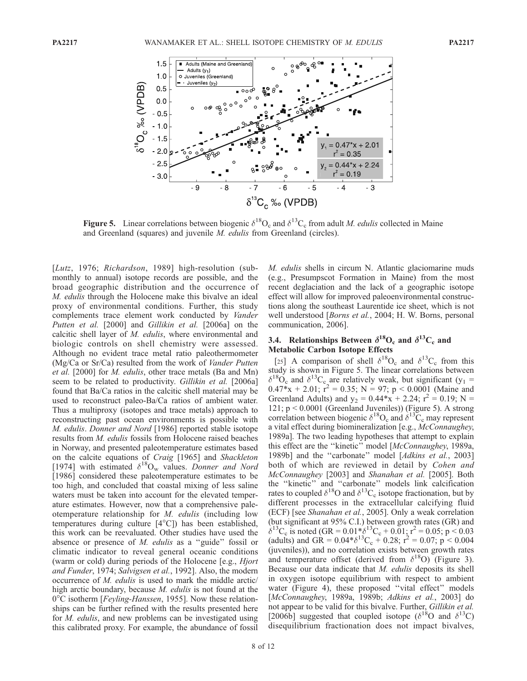

Figure 5. Linear correlations between biogenic  $\delta^{18}O_c$  and  $\delta^{13}C_c$  from adult *M. edulis* collected in Maine and Greenland (squares) and juvenile M. edulis from Greenland (circles).

[Lutz, 1976; Richardson, 1989] high-resolution (submonthly to annual) isotope records are possible, and the broad geographic distribution and the occurrence of M. edulis through the Holocene make this bivalve an ideal proxy of environmental conditions. Further, this study complements trace element work conducted by Vander Putten et al. [2000] and Gillikin et al. [2006a] on the calcitic shell layer of M. edulis, where environmental and biologic controls on shell chemistry were assessed. Although no evident trace metal ratio paleothermometer (Mg/Ca or Sr/Ca) resulted from the work of Vander Putten et al. [2000] for M. edulis, other trace metals (Ba and Mn) seem to be related to productivity. Gillikin et al. [2006a] found that Ba/Ca ratios in the calcitic shell material may be used to reconstruct paleo-Ba/Ca ratios of ambient water. Thus a multiproxy (isotopes and trace metals) approach to reconstructing past ocean environments is possible with M. edulis. Donner and Nord [1986] reported stable isotope results from M. edulis fossils from Holocene raised beaches in Norway, and presented paleotemperature estimates based on the calcite equations of Craig [1965] and Shackleton [1974] with estimated  $\delta^{18}O_w$  values. Donner and Nord [1986] considered these paleotemperature estimates to be too high, and concluded that coastal mixing of less saline waters must be taken into account for the elevated temperature estimates. However, now that a comprehensive paleotemperature relationship for M. edulis (including low temperatures during culture  $[4^{\circ}C]$ ) has been established, this work can be reevaluated. Other studies have used the absence or presence of M. edulis as a ''guide'' fossil or climatic indicator to reveal general oceanic conditions (warm or cold) during periods of the Holocene [e.g., Hjort and Funder, 1974; Salvigsen et al., 1992]. Also, the modern occurrence of M. edulis is used to mark the middle arctic/ high arctic boundary, because *M. edulis* is not found at the  $0^{\circ}$ C isotherm [*Feyling-Hanssen*, 1955]. Now these relationships can be further refined with the results presented here for M. edulis, and new problems can be investigated using this calibrated proxy. For example, the abundance of fossil

M. edulis shells in circum N. Atlantic glaciomarine muds (e.g., Presumpscot Formation in Maine) from the most recent deglaciation and the lack of a geographic isotope effect will allow for improved paleoenvironmental constructions along the southeast Laurentide ice sheet, which is not well understood [Borns et al., 2004; H. W. Borns, personal communication, 2006].

# 3.4. Relationships Between  $\delta^{18}O_c$  and  $\delta^{13}C_c$  and Metabolic Carbon Isotope Effects

[25] A comparison of shell  $\delta^{18}O_c$  and  $\delta^{13}C_c$  from this study is shown in Figure 5. The linear correlations between  $\delta^{18}O_c$  and  $\delta^{13}C_c$  are relatively weak, but significant (y<sub>1</sub> =  $0.47 \times x + 2.01$ ;  $r^2 = 0.35$ ; N = 97; p < 0.0001 (Maine and Greenland Adults) and  $y_2 = 0.44 \times x + 2.24$ ;  $r^2 = 0.19$ ; N = 121; p < 0.0001 (Greenland Juveniles)) (Figure 5). A strong correlation between biogenic  $\delta^{18}O_c$  and  $\delta^{13}C_c$  may represent a vital effect during biomineralization [e.g., McConnaughey, 1989a]. The two leading hypotheses that attempt to explain this effect are the ''kinetic'' model [McConnaughey, 1989a, 1989b] and the "carbonate" model [Adkins et al., 2003] both of which are reviewed in detail by Cohen and McConnaughey [2003] and Shanahan et al. [2005]. Both the ''kinetic'' and ''carbonate'' models link calcification rates to coupled  $\delta^{18}$ O and  $\delta^{13}$ C<sub>c</sub> isotope fractionation, but by different processes in the extracellular calcifying fluid (ECF) [see Shanahan et al., 2005]. Only a weak correlation (but significant at 95% C.I.) between growth rates (GR) and  $\delta^{13}$ C<sub>c</sub> is noted (GR = 0.01 $*_{0}^{*}/_{0}^{13}$ C<sub>c</sub> + 0.01; r<sup>2</sup> = 0.05; p < 0.03 (adults) and GR =  $0.04* \delta^{13}C_{\rm c} + 0.28$ ;  $r^2 = 0.07$ ;  $p < 0.004$ (juveniles)), and no correlation exists between growth rates and temperature offset (derived from  $\delta^{18}O$ ) (Figure 3). Because our data indicate that *M. edulis* deposits its shell in oxygen isotope equilibrium with respect to ambient water (Figure 4), these proposed "vital effect" models [McConnaughey, 1989a, 1989b; Adkins et al., 2003] do not appear to be valid for this bivalve. Further, Gillikin et al. [2006b] suggested that coupled isotope ( $\delta^{18}$ O and  $\delta^{13}$ C) disequilibrium fractionation does not impact bivalves,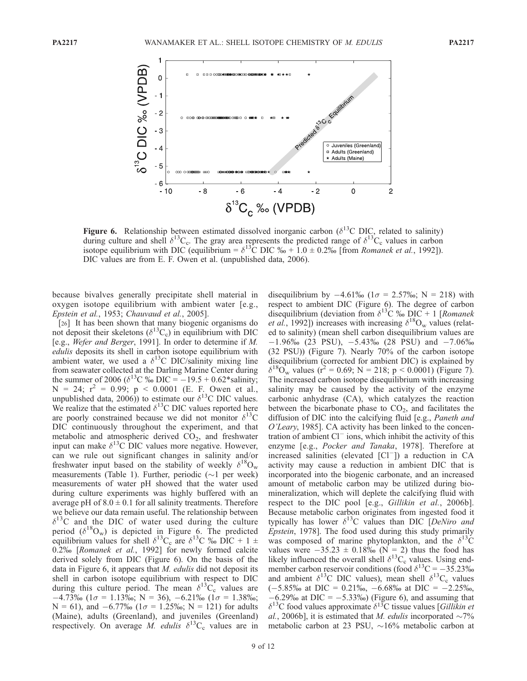![](_page_10_Figure_3.jpeg)

Figure 6. Relationship between estimated dissolved inorganic carbon ( $\delta^{13}$ C DIC, related to salinity) during culture and shell  $\delta^{13}C_c$ . The gray area represents the predicted range of  $\delta^{13}C_c$  values in carbon isotope equilibrium with DIC (equilibrium =  $\delta^{13}$ C DIC  $\%$  + 1.0  $\pm$  0.2% [from *Romanek et al.*, 1992]). DIC values are from E. F. Owen et al. (unpublished data, 2006).

because bivalves generally precipitate shell material in oxygen isotope equilibrium with ambient water [e.g., Epstein et al., 1953; Chauvaud et al., 2005].

[26] It has been shown that many biogenic organisms do not deposit their skeletons ( $\delta^{13}C_c$ ) in equilibrium with DIC [e.g., Wefer and Berger, 1991]. In order to determine if M. edulis deposits its shell in carbon isotope equilibrium with ambient water, we used a  $\delta^{13}$ C DIC/salinity mixing line from seawater collected at the Darling Marine Center during the summer of 2006 ( $\delta^{13}$ C ‰ DIC = -19.5 + 0.62\*salinity;  $N = 24$ ;  $r^2 = 0.99$ ;  $p < 0.0001$  (E. F. Owen et al., unpublished data, 2006)) to estimate our  $\delta^{13}$ C DIC values. We realize that the estimated  $\delta^{13}$ C DIC values reported here are poorly constrained because we did not monitor  $\delta^{13}$ C DIC continuously throughout the experiment, and that metabolic and atmospheric derived  $CO<sub>2</sub>$ , and freshwater input can make  $\delta^{13}$ C DIC values more negative. However, can we rule out significant changes in salinity and/or freshwater input based on the stability of weekly  $\delta^{18}O_w$ measurements (Table 1). Further, periodic  $(\sim]1$  per week) measurements of water pH showed that the water used during culture experiments was highly buffered with an average pH of  $8.0 \pm 0.1$  for all salinity treatments. Therefore we believe our data remain useful. The relationship between  $\delta^{13}$ C and the DIC of water used during the culture period ( $\delta^{18}O_w$ ) is depicted in Figure 6. The predicted equilibrium values for shell  $\delta^{13}C_c$  are  $\delta^{13}C$  ‰ DIC + 1  $\pm$ 0.2% [Romanek et al., 1992] for newly formed calcite derived solely from DIC (Figure 6). On the basis of the data in Figure 6, it appears that *M. edulis* did not deposit its shell in carbon isotope equilibrium with respect to DIC during this culture period. The mean  $\delta^{13}C_c$  values are  $-4.73\%$  (1 $\sigma = 1.13\%$ ); N = 36), -6.21\% (1 $\sigma = 1.38\%$ );  $N = 61$ ), and  $-6.77\%$  ( $1\sigma = 1.25\%$ );  $N = 121$ ) for adults (Maine), adults (Greenland), and juveniles (Greenland) respectively. On average M. edulis  $\delta^{13}C_c$  values are in

disequilibrium by  $-4.61\%$  ( $1\sigma = 2.57\%$ ); N = 218) with respect to ambient DIC (Figure 6). The degree of carbon disequilibrium (deviation from  $\delta^{13}$ C ‰ DIC + 1 [Romanek *et al.*, 1992]) increases with increasing  $\delta^{18}O_w$  values (related to salinity) (mean shell carbon disequilibrium values are  $-1.96\%$  (23 PSU),  $-5.43\%$  (28 PSU) and  $-7.06\%$ (32 PSU)) (Figure 7). Nearly 70% of the carbon isotope disequilibrium (corrected for ambient DIC) is explained by  $\delta^{18}O_{\rm w}$  values (r<sup>2</sup> = 0.69; N = 218; p < 0.0001) (Figure 7). The increased carbon isotope disequilibrium with increasing salinity may be caused by the activity of the enzyme carbonic anhydrase (CA), which catalyzes the reaction between the bicarbonate phase to  $CO<sub>2</sub>$ , and facilitates the diffusion of DIC into the calcifying fluid [e.g., Paneth and O'Leary, 1985]. CA activity has been linked to the concentration of ambient  $Cl^-$  ions, which inhibit the activity of this enzyme [e.g., Pocker and Tanaka, 1978]. Therefore at increased salinities (elevated  $\lceil$ Cl<sup>-</sup> $\rceil$ ) a reduction in CA activity may cause a reduction in ambient DIC that is incorporated into the biogenic carbonate, and an increased amount of metabolic carbon may be utilized during biomineralization, which will deplete the calcifying fluid with respect to the DIC pool [e.g., Gillikin et al., 2006b]. Because metabolic carbon originates from ingested food it typically has lower  $\delta^{13}$ C values than DIC *DeNiro and* Epstein, 1978]. The food used during this study primarily was composed of marine phytoplankton, and the  $\delta^{13}C$ values were  $-35.23 \pm 0.18\%$  (N = 2) thus the food has likely influenced the overall shell  $\delta^{13}C_c$  values. Using endmember carbon reservoir conditions (food  $\delta^{13}$ C = -35.23‰ and ambient  $\delta^{13}$ C DIC values), mean shell  $\delta^{13}$ C<sub>c</sub> values  $(-5.85\%$  at DIC = 0.21\%, -6.68\% at DIC = -2.25\%,  $-6.29\%$  at DIC =  $-5.33\%$ ) (Figure 6), and assuming that  $\delta^{13}$ C food values approximate  $\delta^{13}$ C tissue values [*Gillikin et* al., 2006b], it is estimated that M. edulis incorporated  $\sim$ 7% metabolic carbon at 23 PSU,  $\sim$ 16% metabolic carbon at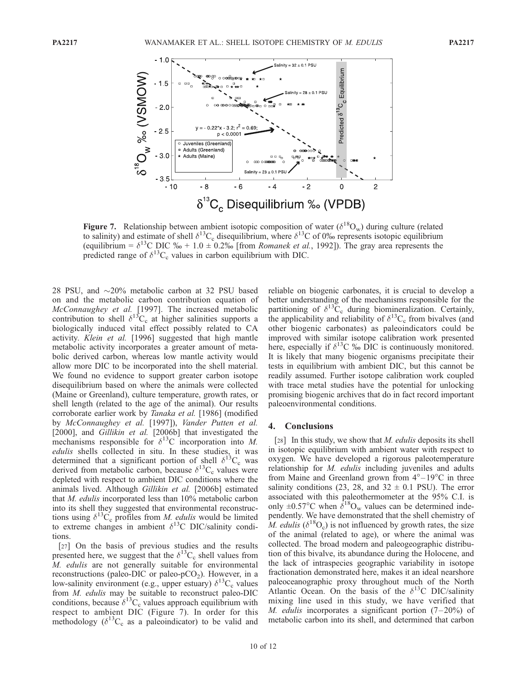![](_page_11_Figure_3.jpeg)

Figure 7. Relationship between ambient isotopic composition of water  $(\delta^{18}O_w)$  during culture (related to salinity) and estimate of shell  $\delta^{13}C_c$  disequilibrium, where  $\delta^{13}C$  of 0% represents isotopic equilibrium (equilibrium =  $\delta^{13}$ C DIC  $\%$  + 1.0  $\pm$  0.2‰ [from *Romanek et al.*, 1992]). The gray area represents the predicted range of  $\delta^{13}C_c$  values in carbon equilibrium with DIC.

28 PSU, and  $\sim$ 20% metabolic carbon at 32 PSU based on and the metabolic carbon contribution equation of McConnaughey et al. [1997]. The increased metabolic contribution to shell  $\delta^{13}C_c$  at higher salinities supports a biologically induced vital effect possibly related to CA activity. Klein et al. [1996] suggested that high mantle metabolic activity incorporates a greater amount of metabolic derived carbon, whereas low mantle activity would allow more DIC to be incorporated into the shell material. We found no evidence to support greater carbon isotope disequilibrium based on where the animals were collected (Maine or Greenland), culture temperature, growth rates, or shell length (related to the age of the animal). Our results corroborate earlier work by Tanaka et al. [1986] (modified by McConnaughey et al. [1997]), Vander Putten et al. [2000], and Gillikin et al. [2006b] that investigated the mechanisms responsible for  $\delta^{13}$ C incorporation into M. edulis shells collected in situ. In these studies, it was determined that a significant portion of shell  $\delta^{13}C_c$  was derived from metabolic carbon, because  $\delta^{13}C_c$  values were depleted with respect to ambient DIC conditions where the animals lived. Although Gillikin et al. [2006b] estimated that M. edulis incorporated less than 10% metabolic carbon into its shell they suggested that environmental reconstructions using  $\delta^{13}C_c$  profiles from *M. edulis* would be limited to extreme changes in ambient  $\delta^{13}$ C DIC/salinity conditions.

[27] On the basis of previous studies and the results presented here, we suggest that the  $\delta^{13}C_c$  shell values from M. edulis are not generally suitable for environmental reconstructions (paleo-DIC or paleo-pCO<sub>2</sub>). However, in a low-salinity environment (e.g., upper estuary)  $\delta^{13}C_c$  values from M. edulis may be suitable to reconstruct paleo-DIC conditions, because  $\delta^{13}C_c$  values approach equilibrium with respect to ambient DIC (Figure 7). In order for this methodology ( $\delta^{13}C_c$  as a paleoindicator) to be valid and reliable on biogenic carbonates, it is crucial to develop a better understanding of the mechanisms responsible for the partitioning of  $\delta^{13}C_c$  during biomineralization. Certainly, the applicability and reliability of  $\delta^{13}C_c$  from bivalves (and other biogenic carbonates) as paleoindicators could be improved with similar isotope calibration work presented here, especially if  $\delta^{13}C$  ‰ DIC is continuously monitored. It is likely that many biogenic organisms precipitate their tests in equilibrium with ambient DIC, but this cannot be readily assumed. Further isotope calibration work coupled with trace metal studies have the potential for unlocking promising biogenic archives that do in fact record important paleoenvironmental conditions.

#### 4. Conclusions

[28] In this study, we show that *M. edulis* deposits its shell in isotopic equilibrium with ambient water with respect to oxygen. We have developed a rigorous paleotemperature relationship for M. edulis including juveniles and adults from Maine and Greenland grown from  $4^{\circ}-19^{\circ}$ C in three salinity conditions (23, 28, and  $32 \pm 0.1$  PSU). The error associated with this paleothermometer at the 95% C.I. is only  $\pm 0.57^{\circ}$ C when  $\delta^{18}$ O<sub>w</sub> values can be determined independently. We have demonstrated that the shell chemistry of M. edulis ( $\delta^{18}O_c$ ) is not influenced by growth rates, the size of the animal (related to age), or where the animal was collected. The broad modern and paleogeographic distribution of this bivalve, its abundance during the Holocene, and the lack of intraspecies geographic variability in isotope fractionation demonstrated here, makes it an ideal nearshore paleoceanographic proxy throughout much of the North Atlantic Ocean. On the basis of the  $\delta^{13}$ C DIC/salinity mixing line used in this study, we have verified that M. edulis incorporates a significant portion  $(7-20\%)$  of metabolic carbon into its shell, and determined that carbon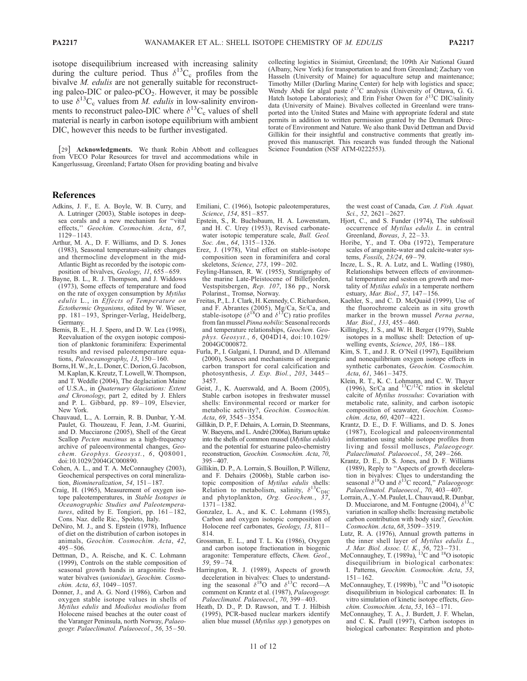isotope disequilibrium increased with increasing salinity during the culture period. Thus  $\delta^{13}C_c$  profiles from the bivalve *M. edulis* are not generally suitable for reconstructing paleo-DIC or paleo- $pCO<sub>2</sub>$ . However, it may be possible to use  $\delta^{13}C_c$  values from *M. edulis* in low-salinity environments to reconstruct paleo-DIC where  $\delta^{13}C_c$  values of shell material is nearly in carbon isotope equilibrium with ambient DIC, however this needs to be further investigated.

[29] Acknowledgments. We thank Robin Abbott and colleagues from VECO Polar Resources for travel and accommodations while in Kangerlussuag, Greenland; Fartato Olsen for providing boating and bivalve collecting logistics in Sisimiut, Greenland; the 109th Air National Guard (Albany, New York) for transportation to and from Greenland; Zachary von Hasseln (University of Maine) for aquaculture setup and maintenance; Timothy Miller (Darling Marine Center) for help with logistics and space; Wendy Abdi for algal paste  $\delta^{13}$ C analysis (University of Ottawa, G. G. Hatch Isotope Laboratories); and Erin Fisher Owen for  $\delta^{13}$ C DIC/salinity data (University of Maine). Bivalves collected in Greenland were transported into the United States and Maine with appropriate federal and state permits in addition to written permission granted by the Denmark Directorate of Environment and Nature. We also thank David Dettman and David Gillikin for their insightful and constructive comments that greatly improved this manuscript. This research was funded through the National Science Foundation (NSF ATM-0222553).

#### References

- Adkins, J. F., E. A. Boyle, W. B. Curry, and A. Lutringer (2003), Stable isotopes in deepsea corals and a new mechanism for ''vital effects,'' Geochim. Cosmochim. Acta, 67, 1129 – 1143.
- Arthur, M. A., D. F. Williams, and D. S. Jones (1983), Seasonal temperature-salinity changes and thermocline development in the mid-Atlantic Bight as recorded by the isotopic composition of bivalves, Geology, 11, 655-659.
- Bayne, B. L., R. J. Thompson, and J. Widdows (1973), Some effects of temperature and food on the rate of oxygen consumption by Mytilus edulis L., in Effects of Temperature on Ectothermic Organisms, edited by W. Wieser, pp. 181 – 193, Springer-Verlag, Heidelberg, Germany.
- Bemis, B. E., H. J. Spero, and D. W. Lea (1998), Reevaluation of the oxygen isotopic composition of planktonic foraminifera: Experimental results and revised paleotemperature equations, Paleoceanography, 13, 150-160.
- Borns,H.W., Jr.,L.Doner,C.Dorion,G. Jacobson, M. Kaplan, K. Kreutz, T. Lowell, W. Thompson, and T. Weddle (2004), The deglaciation Maine of U.S.A., in Quaternary Glaciations: Extent and Chronology, part 2, edited by J. Ehlers and P. L. Gibbard, pp. 89-109, Elsevier, New York.
- Chauvaud, L., A. Lorrain, R. B. Dunbar, Y.-M. Paulet, G. Thouzeau, F. Jean, J.-M. Guarini, and D. Mucciarone (2005), Shell of the Great Scallop Pecten maximus as a high-frequency archive of paleoenvironmental changes, Geochem. Geophys. Geosyst., 6, Q08001, doi:10.1029/2004GC000890.
- Cohen, A. L., and T. A. McConnaughey (2003), Geochemical perspectives on coral mineralization, Biomineralization, 54, 151-187.
- Craig, H. (1965), Measurement of oxygen isotope paleotemperatures, in Stable Isotopes in Oceanographic Studies and Paleotemperatures, edited by E. Tongiori, pp.  $161 - 182$ , Cons. Naz. delle Ric., Spoleto, Italy.
- DeNiro, M. J., and S. Epstein (1978), Influence of diet on the distribution of carbon isotopes in animals, Geochim. Cosmochim. Acta, 42,  $495 - 506$
- Dettman, D., A. Reische, and K. C. Lohmann (1999), Controls on the stable composition of seasonal growth bands in aragonitic freshwater bivalves (unionidae), Geochim. Cosmochim. Acta, 63, 1049-1057.
- Donner, J., and A. G. Nord (1986), Carbon and oxygen stable isotope values in shells of Mytilus edulis and Modiolus modiolus from Holocene raised beaches at the outer coast of the Varanger Peninsula, north Norway, Palaeogeogr. Palaeclimatol. Palaeoecol., 56, 35 – 50.
- Emiliani, C. (1966), Isotopic paleotemperatures, Science, 154, 851-857.
- Epstein, S., R. Buchsbaum, H. A. Lowenstam, and H. C. Urey (1953), Revised carbonatewater isotopic temperature scale, Bull. Geol. Soc. Am.,  $64$ ,  $1315 - 1326$ .
- Erez, J. (1978), Vital effect on stable-isotope composition seen in foraminifera and coral skeletons, Science, 273, 199 – 202.
- Feyling-Hanssen, R. W. (1955), Stratigraphy of the marine Late-Pleistocene of Billefjorden, Vestspitsbergen, Rep. 107, 186 pp., Norsk Polarinst., Tromsø, Norway.
- Freitas, P., L. J. Clark, H. Kennedy, C. Richardson, and F. Abrantes (2005), Mg/Ca, Sr/Ca, and stable-isotope ( $\delta^{18}$ O and  $\delta^{13}$ C) ratio profiles from fan mussel Pinna nobilis: Seasonal records and temperature relationships, Geochem. Geophys. Geosyst., 6, Q04D14, doi:10.1029/ 2004GC000872.
- Furla, P., I. Galgani, I. Durand, and D. Allemand (2000), Sources and mechanisms of inorganic carbon transport for coral calcification and photosynthesis, J. Exp. Biol., 203, 3445 – 3457.
- Geist, J., K. Auerswald, and A. Boom (2005), Stable carbon isotopes in freshwater mussel shells: Environmental record or marker for metabolic activity?, Geochim. Cosmochim. Acta, 69, 3545 – 3554.
- Gillikin, D. P., F. Dehairs, A. Lorrain, D. Steenmans, W. Baeyens, and L. André (2006a), Barium uptake into the shells of common mussel (Mytilus edulis) and the potential for estuarine paleo-chemistry reconstruction, Geochim. Cosmochim. Acta, 70, 395–407.
- Gillikin, D. P., A. Lorrain, S. Bouillon, P. Willenz, and F. Dehairs (2006b), Stable carbon isotopic composition of Mytilus edulis shells: Relation to metabolism, salinity,  $\delta^{13}C_{\text{DIC}}$ and phytoplankton, Org. Geochem., 37, 1371 – 1382.
- Gonzalez, L. A., and K. C. Lohmann (1985), Carbon and oxygen isotopic composition of Holocene reef carbonates, Geology, 13, 811 – 814.
- Grossman, E. L., and T. L. Ku (1986), Oxygen and carbon isotope fractionation in biogenic aragonite: Temperature effects, Chem. Geol., 59, 59 – 74.
- Harrington, R. J. (1989), Aspects of growth deceleration in bivalves: Clues to understand-<br>ing the seasonal  $\delta^{18}O$  and  $\delta^{13}C$  record—A comment on Krantz et al. (1987), Palaeogeogr. Palaeclimatol. Palaeoecol., 70, 399-403.
- Heath, D. D., P. D. Rawson, and T. J. Hilbish (1995), PCR-based nuclear markers identify alien blue mussel (Mytilus spp.) genotypes on

the west coast of Canada, Can. J. Fish. Aquat. Sci., 52, 2621-2627.

- Hjort, C., and S. Funder (1974), The subfossil occurrence of Mytilus edulis L. in central Greenland, Boreas, 3, 22-33.
- Horibe, Y., and T. Oba (1972), Temperature scales of aragonite-water and calcite-water systems, *Fossils*, 23/24, 69-79.
- Incze, L. S., R. A. Lutz, and L. Watling (1980), Relationships between effects of environmental temperature and seston on growth and mortality of Mytilus edulis in a temperate northern estuary, Mar. Biol., 57, 147-156.
- Kaehler, S., and C. D. McQuaid (1999), Use of the fluorochrome calcein as in situ growth marker in the brown mussel Perna perna, Mar. Biol., 133, 455-460.
- Killingley, J. S., and W. H. Berger (1979), Stable isotopes in a mollusc shell: Detection of upwelling events, Science, 205, 186-188
- Kim, S. T., and J. R. O'Neil (1997), Equilibrium and nonequilibrium oxygen isotope effects in synthetic carbonates, Geochim. Cosmochim. Acta, 61, 3461-3475.
- Klein, R. T., K. C. Lohmann, and C. W. Thayer (1996), Sr/Ca and  $^{13}C/^{12}C$  ratios in skeletal calcite of Mytilus trossulus: Covariation with metabolic rate, salinity, and carbon isotopic composition of seawater, Geochim. Cosmochim. Acta, 60, 4207 – 4221.
- Krantz, D. E., D. F. Williams, and D. S. Jones (1987), Ecological and paleoenvironmental information using stable isotope profiles from living and fossil molluscs, Palaeogeogr. Palaeclimatol. Palaeoecol., 58, 249-266.
- Krantz, D. E., D. S. Jones, and D. F. Williams (1989), Reply to ''Aspects of growth deceleration in bivalves: Clues to understanding the seasonal  $\delta^{18}O$  and  $\delta^{13}C$  record," *Palaeogeogr.* Palaeclimatol. Palaeoecol., 70, 403-407
- Lorrain,A.,Y.-M. Paulet,L.Chauvaud,R.Dunbar, D. Mucciarone, and M. Fontugne (2004),  $\delta$ <sup>2</sup> variation in scallop shells: Increasing metabolic carbon contribution with body size?, Geochim. Cosmochim. Acta, 68, 3509 – 3519.
- Lutz, R. A. (1976), Annual growth patterns in the inner shell layer of Mytilus edulis L.,
- J. Mar. Biol. Assoc. U. K., 56, 723–731.<br>McConnaughey, T. (1989a), <sup>13</sup>C and <sup>18</sup>O isotopic disequilibrium in biological carbonates: I. Patterns, Geochim. Cosmochim. Acta, 53,  $151 - 162$ .
- McConnaughey, T. (1989b), <sup>13</sup>C and <sup>18</sup>O isotopic disequilibrium in biological carbonates: II. In vitro simulation of kinetic isotope effects, Geochim. Cosmochim. Acta, 53, 163 – 171.
- McConnaughey, T. A., J. Burdett, J. F. Whelan, and C. K. Paull (1997), Carbon isotopes in biological carbonates: Respiration and photo-